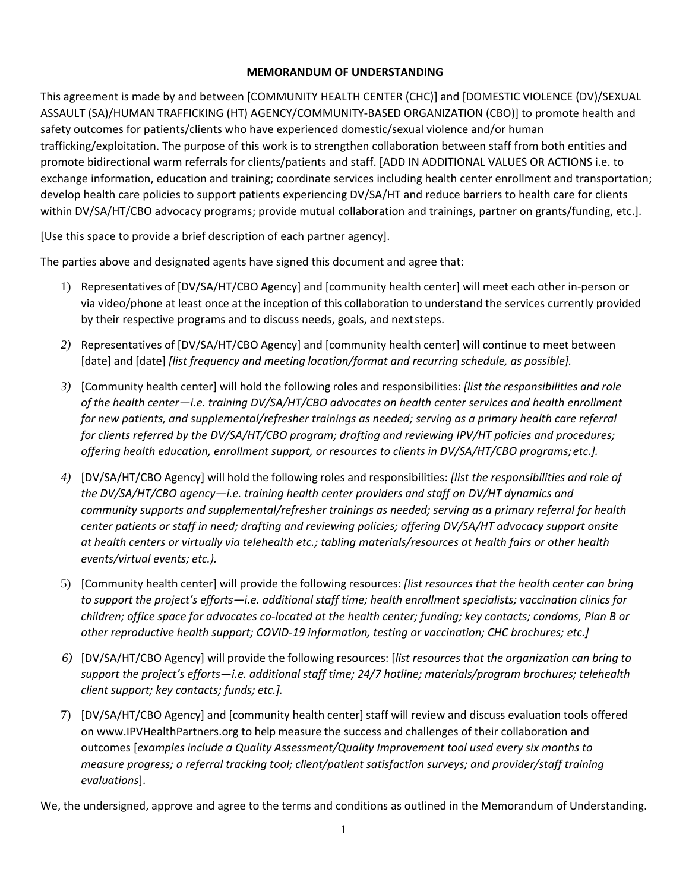## **MEMORANDUM OF UNDERSTANDING**

This agreement is made by and between [COMMUNITY HEALTH CENTER (CHC)] and [DOMESTIC VIOLENCE (DV)/SEXUAL ASSAULT (SA)/HUMAN TRAFFICKING (HT) AGENCY/COMMUNITY-BASED ORGANIZATION (CBO)] to promote health and safety outcomes for patients/clients who have experienced domestic/sexual violence and/or human trafficking/exploitation. The purpose of this work is to strengthen collaboration between staff from both entities and promote bidirectional warm referrals for clients/patients and staff. [ADD IN ADDITIONAL VALUES OR ACTIONS i.e. to exchange information, education and training; coordinate services including health center enrollment and transportation; develop health care policies to support patients experiencing DV/SA/HT and reduce barriers to health care for clients within DV/SA/HT/CBO advocacy programs; provide mutual collaboration and trainings, partner on grants/funding, etc.].

[Use this space to provide a brief description of each partner agency].

The parties above and designated agents have signed this document and agree that:

- 1) Representatives of [DV/SA/HT/CBO Agency] and [community health center] will meet each other in-person or via video/phone at least once at the inception of this collaboration to understand the services currently provided by their respective programs and to discuss needs, goals, and nextsteps.
- *2)* Representatives of [DV/SA/HT/CBO Agency] and [community health center] will continue to meet between [date] and [date] *[list frequency and meeting location/format and recurring schedule, as possible].*
- *3)* [Community health center] will hold the following roles and responsibilities: *[list the responsibilities and role of the health center—i.e. training DV/SA/HT/CBO advocates on health center services and health enrollment for new patients, and supplemental/refresher trainings as needed; serving as a primary health care referral for clients referred by the DV/SA/HT/CBO program; drafting and reviewing IPV/HT policies and procedures; offering health education, enrollment support, or resources to clients in DV/SA/HT/CBO programs; etc.].*
- *4)* [DV/SA/HT/CBO Agency] will hold the following roles and responsibilities: *[list the responsibilities and role of the DV/SA/HT/CBO agency—i.e. training health center providers and staff on DV/HT dynamics and community supports and supplemental/refresher trainings as needed; serving as a primary referral for health center patients or staff in need; drafting and reviewing policies; offering DV/SA/HT advocacy support onsite at health centers or virtually via telehealth etc.; tabling materials/resources at health fairs or other health events/virtual events; etc.).*
- 5) [Community health center] will provide the following resources: *[list resources that the health center can bring to support the project's efforts—i.e. additional staff time; health enrollment specialists; vaccination clinics for children; office space for advocates co-located at the health center; funding; key contacts; condoms, Plan B or other reproductive health support; COVID-19 information, testing or vaccination; CHC brochures; etc.]*
- *6)* [DV/SA/HT/CBO Agency] will provide the following resources: [*list resources that the organization can bring to support the project's efforts—i.e. additional staff time; 24/7 hotline; materials/program brochures; telehealth client support; key contacts; funds; etc.].*
- 7) [DV/SA/HT/CBO Agency] and [community health center]staff will review and discuss evaluation tools offered on www.IPVHealthPartners.org to help measure the success and challenges of their collaboration and outcomes [*examples include a Quality Assessment/Quality Improvement tool used every six months to measure progress; a referral tracking tool; client/patient satisfaction surveys; and provider/staff training evaluations*].

We, the undersigned, approve and agree to the terms and conditions as outlined in the Memorandum of Understanding.